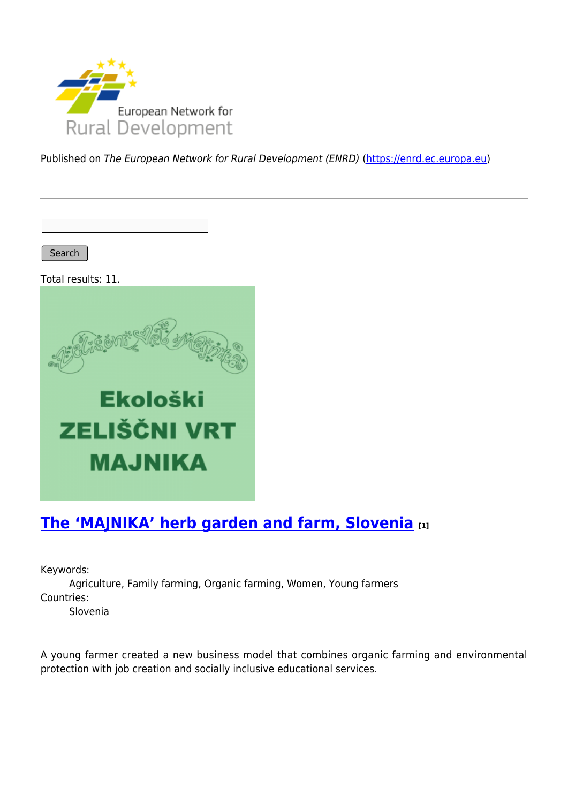

Published on The European Network for Rural Development (ENRD) [\(https://enrd.ec.europa.eu](https://enrd.ec.europa.eu))

Search

Total results: 11.



## **[The 'MAJNIKA' herb garden and farm, Slovenia](https://enrd.ec.europa.eu/projects-practice/majnika-herb-garden-and-farm-slovenia_en) [1]**

Keywords:

Agriculture, Family farming, Organic farming, Women, Young farmers Countries:

Slovenia

A young farmer created a new business model that combines organic farming and environmental protection with job creation and socially inclusive educational services.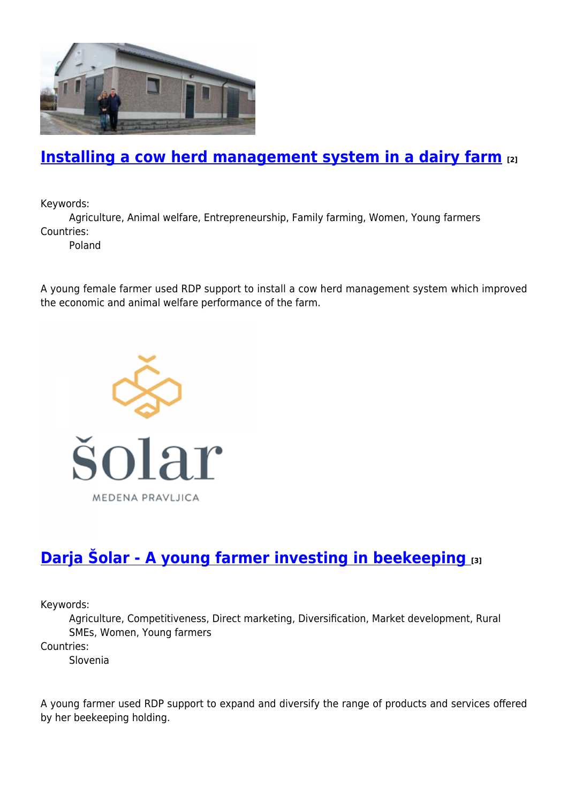

#### **[Installing a cow herd management system in a dairy farm](https://enrd.ec.europa.eu/projects-practice/installing-cow-herd-management-system-dairy-farm_en) [2]**

Keywords:

Agriculture, Animal welfare, Entrepreneurship, Family farming, Women, Young farmers Countries:

Poland

A young female farmer used RDP support to install a cow herd management system which improved the economic and animal welfare performance of the farm.



# **[Darja Šolar - A young farmer investing in beekeeping](https://enrd.ec.europa.eu/projects-practice/darja-solar-young-farmer-investing-beekeeping_en) [3]**

Keywords:

Agriculture, Competitiveness, Direct marketing, Diversification, Market development, Rural SMEs, Women, Young farmers

Countries:

Slovenia

A young farmer used RDP support to expand and diversify the range of products and services offered by her beekeeping holding.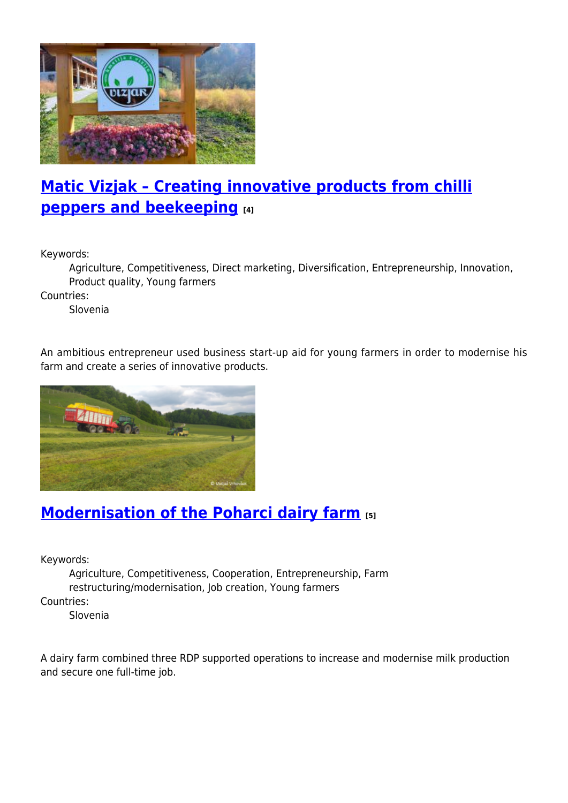

# **[Matic Vizjak – Creating innovative products from chilli](https://enrd.ec.europa.eu/projects-practice/matic-vizjak-creating-innovative-products-chilli-peppers-and-beekeeping_en) [peppers and beekeeping](https://enrd.ec.europa.eu/projects-practice/matic-vizjak-creating-innovative-products-chilli-peppers-and-beekeeping_en) [4]**

Keywords:

Agriculture, Competitiveness, Direct marketing, Diversification, Entrepreneurship, Innovation, Product quality, Young farmers

Countries:

Slovenia

An ambitious entrepreneur used business start-up aid for young farmers in order to modernise his farm and create a series of innovative products.



#### **[Modernisation of the Poharci dairy farm](https://enrd.ec.europa.eu/projects-practice/modernisation-poharci-dairy-farm_en) [5]**

Keywords:

Agriculture, Competitiveness, Cooperation, Entrepreneurship, Farm restructuring/modernisation, Job creation, Young farmers Countries:

Slovenia

A dairy farm combined three RDP supported operations to increase and modernise milk production and secure one full-time job.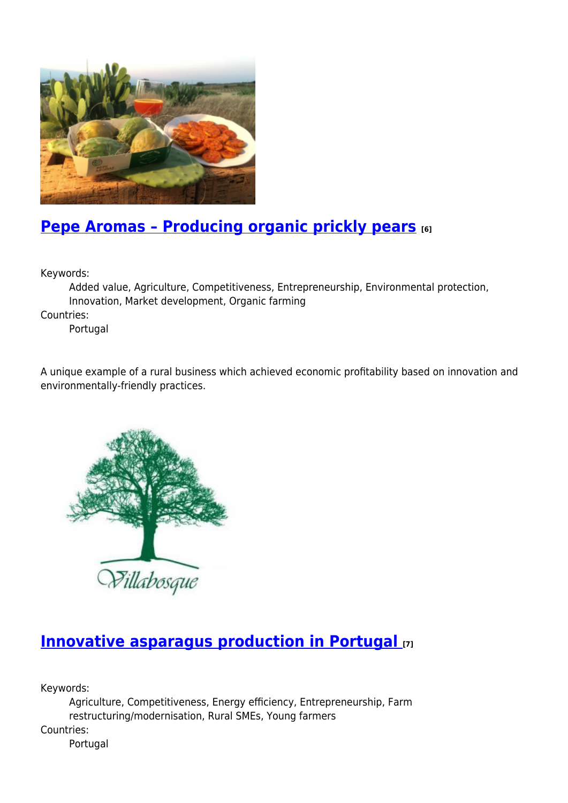

## **[Pepe Aromas – Producing organic prickly pears](https://enrd.ec.europa.eu/projects-practice/pepe-aromas-producing-organic-prickly-pears_en) [6]**

Keywords:

Added value, Agriculture, Competitiveness, Entrepreneurship, Environmental protection, Innovation, Market development, Organic farming

Countries:

Portugal

A unique example of a rural business which achieved economic profitability based on innovation and environmentally-friendly practices.



## **[Innovative asparagus production in Portugal](https://enrd.ec.europa.eu/projects-practice/innovative-asparagus-production-portugal_en) [7]**

Keywords:

Agriculture, Competitiveness, Energy efficiency, Entrepreneurship, Farm restructuring/modernisation, Rural SMEs, Young farmers Countries:

Portugal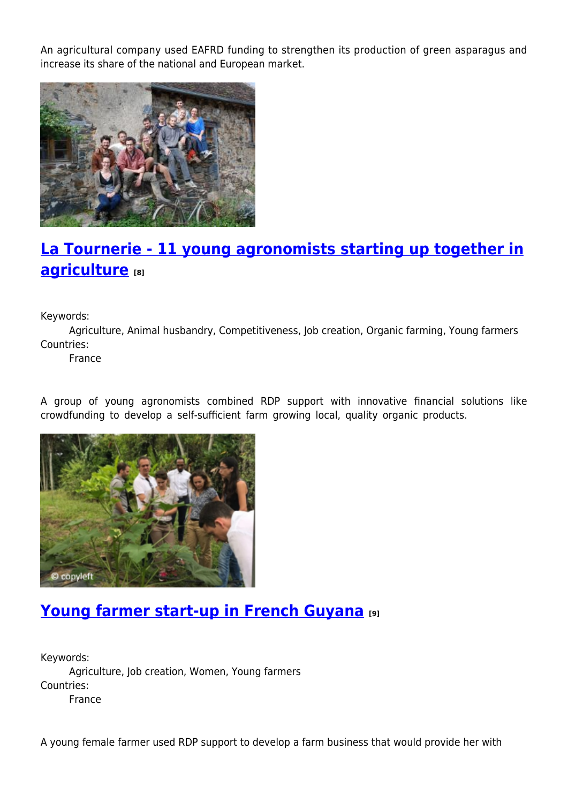An agricultural company used EAFRD funding to strengthen its production of green asparagus and increase its share of the national and European market.



# **[La Tournerie - 11 young agronomists starting up together in](https://enrd.ec.europa.eu/projects-practice/la-tournerie-11-young-agronomists-starting-together-agriculture_en) [agriculture](https://enrd.ec.europa.eu/projects-practice/la-tournerie-11-young-agronomists-starting-together-agriculture_en) [8]**

Keywords:

Agriculture, Animal husbandry, Competitiveness, Job creation, Organic farming, Young farmers Countries:

France

A group of young agronomists combined RDP support with innovative financial solutions like crowdfunding to develop a self-sufficient farm growing local, quality organic products.



#### **[Young farmer start-up in French Guyana](https://enrd.ec.europa.eu/projects-practice/young-farmer-start-french-guyana_en) [9]**

Keywords: Agriculture, Job creation, Women, Young farmers Countries: France

A young female farmer used RDP support to develop a farm business that would provide her with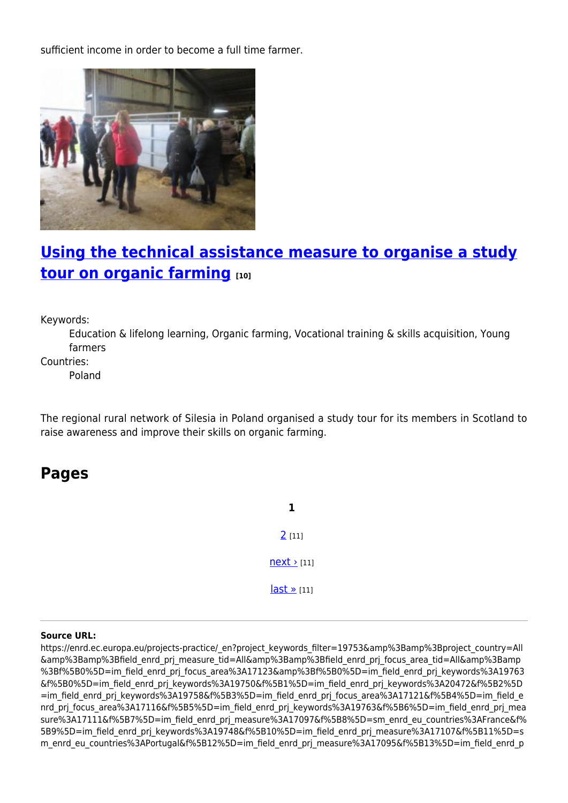sufficient income in order to become a full time farmer.



### **[Using the technical assistance measure to organise a study](https://enrd.ec.europa.eu/projects-practice/using-technical-assistance-measure-organise-study-tour-organic-farming_en) [tour on organic farming](https://enrd.ec.europa.eu/projects-practice/using-technical-assistance-measure-organise-study-tour-organic-farming_en) [10]**

Keywords:

Education & lifelong learning, Organic farming, Vocational training & skills acquisition, Young farmers

Countries:

Poland

The regional rural network of Silesia in Poland organised a study tour for its members in Scotland to raise awareness and improve their skills on organic farming.

**Pages**

**1** [2](https://enrd.ec.europa.eu/projects-practice/_en?page=1&project_keywords_filter=19753&%3Bamp%3Bproject_country=All&%3Bamp%3Bfield_enrd_prj_measure_tid=All&%3Bamp%3Bfield_enrd_prj_focus_area_tid=All&%3Bamp%3Bf%5B0%5D=im_field_enrd_prj_focus_area%3A17123&%3Bf%5B0%5D=im_field_enrd_prj_keywords%3A19763&f%5B0%5D=im_field_enrd_prj_keywords%3A19750&f%5B1%5D=im_field_enrd_prj_keywords%3A20472&f%5B2%5D=im_field_enrd_prj_keywords%3A19758&f%5B3%5D=im_field_enrd_prj_focus_area%3A17121&f%5B4%5D=im_field_enrd_prj_focus_area%3A17116&f%5B5%5D=im_field_enrd_prj_keywords%3A19763&f%5B6%5D=im_field_enrd_prj_measure%3A17111&f%5B7%5D=im_field_enrd_prj_measure%3A17097&f%5B8%5D=sm_enrd_eu_countries%3AFrance&f%5B9%5D=im_field_enrd_prj_keywords%3A19748&f%5B10%5D=im_field_enrd_prj_measure%3A17107&f%5B11%5D=sm_enrd_eu_countries%3APortugal&f%5B12%5D=im_field_enrd_prj_measure%3A17095&f%5B13%5D=im_field_enrd_prj_keywords%3A19731&f%5B14%5D=sm_enrd_eu_countries%3APoland&f%5B15%5D=sm_enrd_eu_countries%3ASlovenia&f%5B16%5D=im_field_enrd_prj_keywords%3A20466) [11]  $next$  [11]  $last \times [11]$ 

#### **Source URL:**

https://enrd.ec.europa.eu/projects-practice/\_en?project\_keywords\_filter=19753&amp%3Bamp%3Bproject\_country=All &amp%3Bamp%3Bfield\_enrd\_prj\_measure\_tid=All&amp%3Bamp%3Bfield\_enrd\_prj\_focus\_area\_tid=All&amp%3Bamp %3Bf%5B0%5D=im field enrd prj focus area%3A17123&amp%3Bf%5B0%5D=im field enrd prj keywords%3A19763 &f%5B0%5D=im\_field\_enrd\_prj\_keywords%3A19750&f%5B1%5D=im\_field\_enrd\_prj\_keywords%3A20472&f%5B2%5D =im\_field\_enrd\_pri\_keywords%3A19758&f%5B3%5D=im\_field\_enrd\_pri\_focus\_area%3A17121&f%5B4%5D=im\_field\_e nrd prj focus area%3A17116&f%5B5%5D=im field enrd prj keywords%3A19763&f%5B6%5D=im field enrd prj mea sure%3A17111&f%5B7%5D=im field\_enrd\_prj\_measure%3A17097&f%5B8%5D=sm\_enrd\_eu\_countries%3AFrance&f% 5B9%5D=im field enrd prj keywords%3A19748&f%5B10%5D=im field enrd prj measure%3A17107&f%5B11%5D=s m\_enrd\_eu\_countries%3APortugal&f%5B12%5D=im\_field\_enrd\_prj\_measure%3A17095&f%5B13%5D=im\_field\_enrd\_p